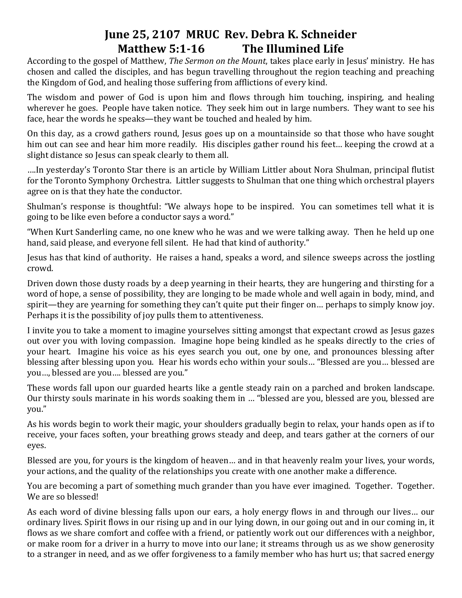## **June 25, 2107 MRUC Rev. Debra K. Schneider Matthew 5:1-16 The Illumined Life**

According to the gospel of Matthew, *The Sermon on the Mount*, takes place early in Jesus' ministry. He has chosen and called the disciples, and has begun travelling throughout the region teaching and preaching the Kingdom of God, and healing those suffering from afflictions of every kind.

The wisdom and power of God is upon him and flows through him touching, inspiring, and healing wherever he goes. People have taken notice. They seek him out in large numbers. They want to see his face, hear the words he speaks—they want be touched and healed by him.

On this day, as a crowd gathers round, Jesus goes up on a mountainside so that those who have sought him out can see and hear him more readily. His disciples gather round his feet… keeping the crowd at a slight distance so Jesus can speak clearly to them all.

….In yesterday's Toronto Star there is an article by William Littler about Nora Shulman, principal flutist for the Toronto Symphony Orchestra. Littler suggests to Shulman that one thing which orchestral players agree on is that they hate the conductor.

Shulman's response is thoughtful: "We always hope to be inspired. You can sometimes tell what it is going to be like even before a conductor says a word."

"When Kurt Sanderling came, no one knew who he was and we were talking away. Then he held up one hand, said please, and everyone fell silent. He had that kind of authority."

Jesus has that kind of authority. He raises a hand, speaks a word, and silence sweeps across the jostling crowd.

Driven down those dusty roads by a deep yearning in their hearts, they are hungering and thirsting for a word of hope, a sense of possibility, they are longing to be made whole and well again in body, mind, and spirit—they are yearning for something they can't quite put their finger on… perhaps to simply know joy. Perhaps it is the possibility of joy pulls them to attentiveness.

I invite you to take a moment to imagine yourselves sitting amongst that expectant crowd as Jesus gazes out over you with loving compassion. Imagine hope being kindled as he speaks directly to the cries of your heart. Imagine his voice as his eyes search you out, one by one, and pronounces blessing after blessing after blessing upon you. Hear his words echo within your souls… "Blessed are you… blessed are you…, blessed are you…. blessed are you."

These words fall upon our guarded hearts like a gentle steady rain on a parched and broken landscape. Our thirsty souls marinate in his words soaking them in … "blessed are you, blessed are you, blessed are you."

As his words begin to work their magic, your shoulders gradually begin to relax, your hands open as if to receive, your faces soften, your breathing grows steady and deep, and tears gather at the corners of our eyes.

Blessed are you, for yours is the kingdom of heaven… and in that heavenly realm your lives, your words, your actions, and the quality of the relationships you create with one another make a difference.

You are becoming a part of something much grander than you have ever imagined. Together. Together. We are so blessed!

As each word of divine blessing falls upon our ears, a holy energy flows in and through our lives… our ordinary lives. Spirit flows in our rising up and in our lying down, in our going out and in our coming in, it flows as we share comfort and coffee with a friend, or patiently work out our differences with a neighbor, or make room for a driver in a hurry to move into our lane; it streams through us as we show generosity to a stranger in need, and as we offer forgiveness to a family member who has hurt us; that sacred energy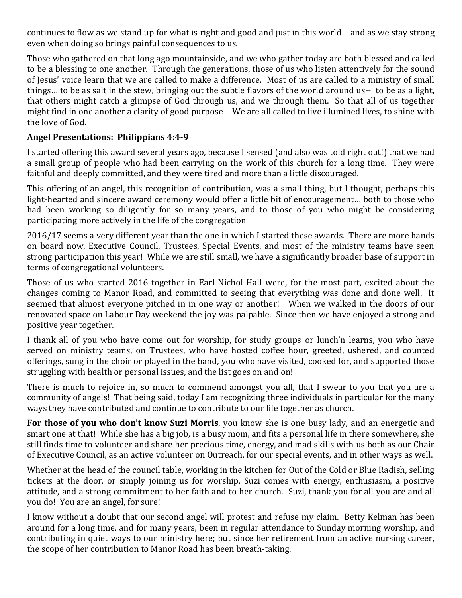continues to flow as we stand up for what is right and good and just in this world—and as we stay strong even when doing so brings painful consequences to us.

Those who gathered on that long ago mountainside, and we who gather today are both blessed and called to be a blessing to one another. Through the generations, those of us who listen attentively for the sound of Jesus' voice learn that we are called to make a difference. Most of us are called to a ministry of small things… to be as salt in the stew, bringing out the subtle flavors of the world around us-- to be as a light, that others might catch a glimpse of God through us, and we through them. So that all of us together might find in one another a clarity of good purpose—We are all called to live illumined lives, to shine with the love of God.

## **Angel Presentations: Philippians 4:4-9**

I started offering this award several years ago, because I sensed (and also was told right out!) that we had a small group of people who had been carrying on the work of this church for a long time. They were faithful and deeply committed, and they were tired and more than a little discouraged.

This offering of an angel, this recognition of contribution, was a small thing, but I thought, perhaps this light-hearted and sincere award ceremony would offer a little bit of encouragement… both to those who had been working so diligently for so many years, and to those of you who might be considering participating more actively in the life of the congregation

2016/17 seems a very different year than the one in which I started these awards. There are more hands on board now, Executive Council, Trustees, Special Events, and most of the ministry teams have seen strong participation this year! While we are still small, we have a significantly broader base of support in terms of congregational volunteers.

Those of us who started 2016 together in Earl Nichol Hall were, for the most part, excited about the changes coming to Manor Road, and committed to seeing that everything was done and done well. It seemed that almost everyone pitched in in one way or another! When we walked in the doors of our renovated space on Labour Day weekend the joy was palpable. Since then we have enjoyed a strong and positive year together.

I thank all of you who have come out for worship, for study groups or lunch'n learns, you who have served on ministry teams, on Trustees, who have hosted coffee hour, greeted, ushered, and counted offerings, sung in the choir or played in the band, you who have visited, cooked for, and supported those struggling with health or personal issues, and the list goes on and on!

There is much to rejoice in, so much to commend amongst you all, that I swear to you that you are a community of angels! That being said, today I am recognizing three individuals in particular for the many ways they have contributed and continue to contribute to our life together as church.

**For those of you who don't know Suzi Morris**, you know she is one busy lady, and an energetic and smart one at that! While she has a big job, is a busy mom, and fits a personal life in there somewhere, she still finds time to volunteer and share her precious time, energy, and mad skills with us both as our Chair of Executive Council, as an active volunteer on Outreach, for our special events, and in other ways as well.

Whether at the head of the council table, working in the kitchen for Out of the Cold or Blue Radish, selling tickets at the door, or simply joining us for worship, Suzi comes with energy, enthusiasm, a positive attitude, and a strong commitment to her faith and to her church. Suzi, thank you for all you are and all you do! You are an angel, for sure!

I know without a doubt that our second angel will protest and refuse my claim. Betty Kelman has been around for a long time, and for many years, been in regular attendance to Sunday morning worship, and contributing in quiet ways to our ministry here; but since her retirement from an active nursing career, the scope of her contribution to Manor Road has been breath-taking.